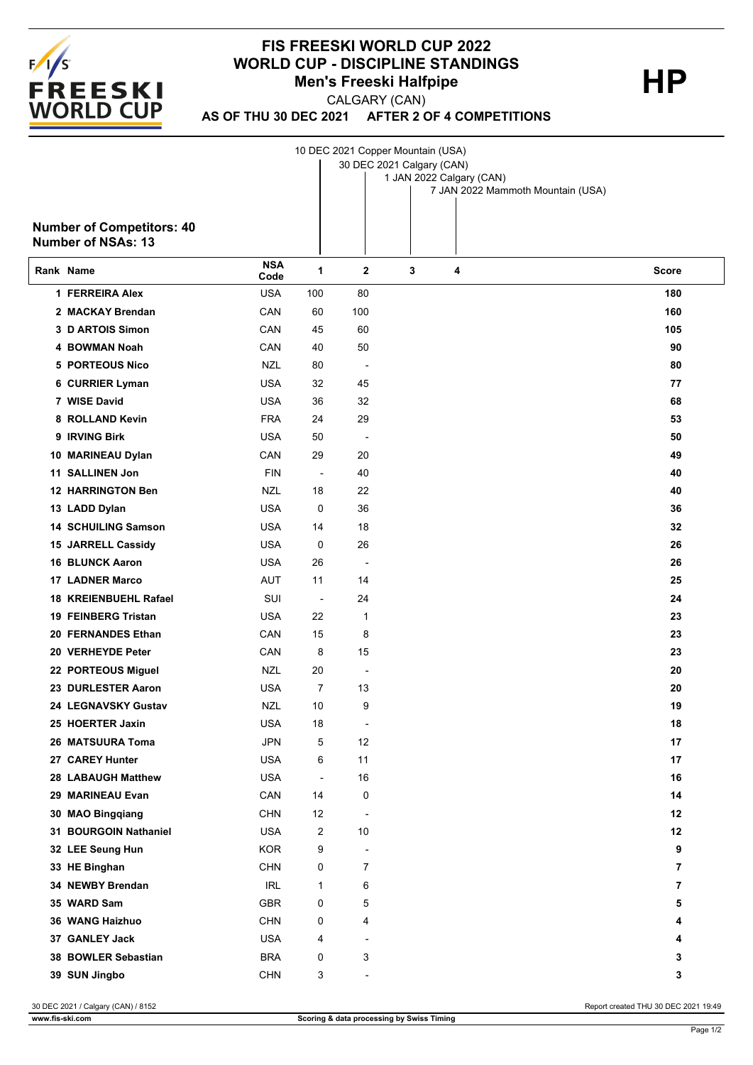

## **FIS FREESKI WORLD CUP 2022 WORLD CUP - DISCIPLINE STANDINGS<br>Men's Freeski Halfpipe HP Men's Freeski Halfpipe**

CALGARY (CAN)

**AS OF THU 30 DEC 2021 AFTER 2 OF 4 COMPETITIONS**

10 DEC 2021 Copper Mountain (USA)

30 DEC 2021 Calgary (CAN)

| <b>Number of Competitors: 40</b><br><b>Number of NSAs: 13</b> |                    |                          |                          |   | 1 JAN 2022 Calgary (CAN)<br>7 JAN 2022 Mammoth Mountain (USA) |                |
|---------------------------------------------------------------|--------------------|--------------------------|--------------------------|---|---------------------------------------------------------------|----------------|
| Rank Name                                                     | <b>NSA</b><br>Code | 1                        | 2                        | 3 | 4                                                             | <b>Score</b>   |
| 1 FERREIRA Alex                                               | <b>USA</b>         | 100                      | 80                       |   |                                                               | 180            |
| 2 MACKAY Brendan                                              | CAN                | 60                       | 100                      |   |                                                               | 160            |
| 3 D ARTOIS Simon                                              | CAN                | 45                       | 60                       |   |                                                               | 105            |
| <b>4 BOWMAN Noah</b>                                          | CAN                | 40                       | 50                       |   |                                                               | 90             |
| <b>5 PORTEOUS Nico</b>                                        | <b>NZL</b>         | 80                       |                          |   |                                                               | 80             |
| 6 CURRIER Lyman                                               | <b>USA</b>         | 32                       | 45                       |   |                                                               | 77             |
| 7 WISE David                                                  | <b>USA</b>         | 36                       | 32                       |   |                                                               | 68             |
| 8 ROLLAND Kevin                                               | <b>FRA</b>         | 24                       | 29                       |   |                                                               | 53             |
| 9 IRVING Birk                                                 | <b>USA</b>         | 50                       | ÷                        |   |                                                               | 50             |
| 10 MARINEAU Dylan                                             | CAN                | 29                       | 20                       |   |                                                               | 49             |
| <b>11 SALLINEN Jon</b>                                        | <b>FIN</b>         | $\overline{\phantom{a}}$ | 40                       |   |                                                               | 40             |
| <b>12 HARRINGTON Ben</b>                                      | <b>NZL</b>         | 18                       | 22                       |   |                                                               | 40             |
| 13 LADD Dylan                                                 | <b>USA</b>         | 0                        | 36                       |   |                                                               | 36             |
| <b>14 SCHUILING Samson</b>                                    | <b>USA</b>         | 14                       | 18                       |   |                                                               | 32             |
| 15 JARRELL Cassidy                                            | <b>USA</b>         | 0                        | 26                       |   |                                                               | 26             |
| <b>16 BLUNCK Aaron</b>                                        | <b>USA</b>         | 26                       |                          |   |                                                               | 26             |
| <b>17 LADNER Marco</b>                                        | <b>AUT</b>         | 11                       | 14                       |   |                                                               | 25             |
| 18 KREIENBUEHL Rafael                                         | SUI                | $\overline{\phantom{a}}$ | 24                       |   |                                                               | 24             |
| 19 FEINBERG Tristan                                           | <b>USA</b>         | 22                       | 1                        |   |                                                               | 23             |
| 20 FERNANDES Ethan                                            | CAN                | 15                       | 8                        |   |                                                               | 23             |
| 20 VERHEYDE Peter                                             | CAN                | 8                        | 15                       |   |                                                               | 23             |
| 22 PORTEOUS Miguel                                            | NZL                | 20                       | ÷                        |   |                                                               | 20             |
| 23 DURLESTER Aaron                                            | <b>USA</b>         | $\overline{7}$           | 13                       |   |                                                               | 20             |
| <b>24 LEGNAVSKY Gustav</b>                                    | NZL                | 10                       | 9                        |   |                                                               | 19             |
| 25 HOERTER Jaxin                                              | <b>USA</b>         | 18                       |                          |   |                                                               | 18             |
| 26 MATSUURA Toma                                              | <b>JPN</b>         | 5                        | 12                       |   |                                                               | 17             |
| 27 CAREY Hunter                                               | <b>USA</b>         | 6                        | 11                       |   |                                                               | 17             |
| 28 LABAUGH Matthew                                            | <b>USA</b>         | $\blacksquare$           | 16                       |   |                                                               | 16             |
| 29 MARINEAU Evan                                              | CAN                | 14                       | 0                        |   |                                                               | 14             |
| 30 MAO Bingqiang                                              | <b>CHN</b>         | 12                       | $\overline{a}$           |   |                                                               | 12             |
| 31 BOURGOIN Nathaniel                                         | <b>USA</b>         | 2                        | 10                       |   |                                                               | 12             |
| 32 LEE Seung Hun                                              | <b>KOR</b>         | 9                        | $\overline{\phantom{a}}$ |   |                                                               | 9              |
| 33 HE Binghan                                                 | <b>CHN</b>         | 0                        | $\overline{7}$           |   |                                                               | $\overline{7}$ |
| 34 NEWBY Brendan                                              | <b>IRL</b>         | 1                        | 6                        |   |                                                               | 7              |
| 35 WARD Sam                                                   | <b>GBR</b>         | 0                        | 5                        |   |                                                               | 5              |
| 36 WANG Haizhuo                                               | <b>CHN</b>         | 0                        | 4                        |   |                                                               | 4              |
| 37 GANLEY Jack                                                | <b>USA</b>         | 4                        | $\overline{\phantom{a}}$ |   |                                                               | 4              |
| 38 BOWLER Sebastian                                           | <b>BRA</b>         | 0                        | 3                        |   |                                                               | 3              |
| 39 SUN Jingbo                                                 | <b>CHN</b>         | 3                        |                          |   |                                                               | 3              |

30 DEC 2021 / Calgary (CAN) / 8152 Report created THU 30 DEC 2021 19:49